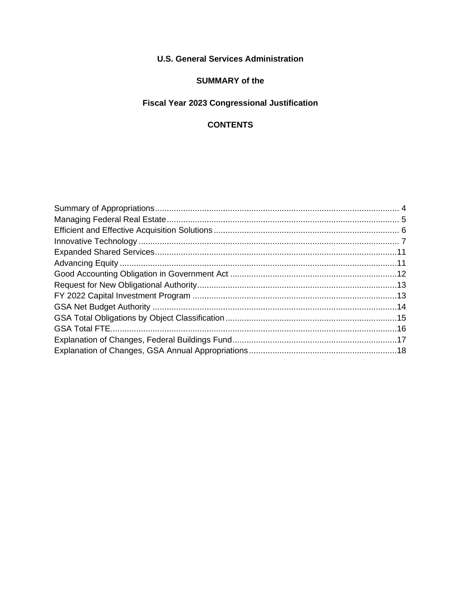### **U.S. General Services Administration**

### **SUMMARY of the**

## Fiscal Year 2023 Congressional Justification

### **CONTENTS**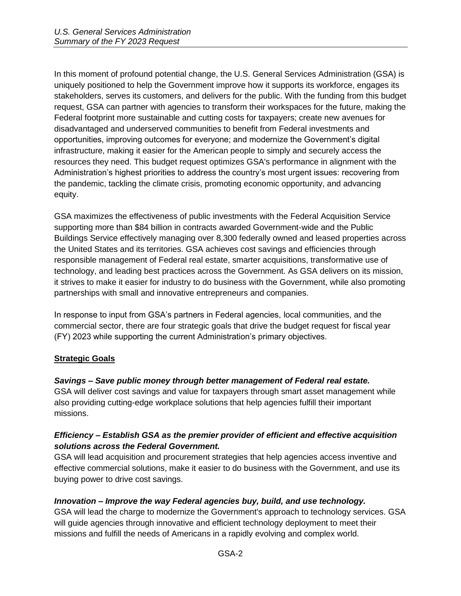In this moment of profound potential change, the U.S. General Services Administration (GSA) is uniquely positioned to help the Government improve how it supports its workforce, engages its stakeholders, serves its customers, and delivers for the public. With the funding from this budget request, GSA can partner with agencies to transform their workspaces for the future, making the Federal footprint more sustainable and cutting costs for taxpayers; create new avenues for disadvantaged and underserved communities to benefit from Federal investments and opportunities, improving outcomes for everyone; and modernize the Government's digital infrastructure, making it easier for the American people to simply and securely access the resources they need. This budget request optimizes GSA's performance in alignment with the Administration's highest priorities to address the country's most urgent issues: recovering from the pandemic, tackling the climate crisis, promoting economic opportunity, and advancing equity.

GSA maximizes the effectiveness of public investments with the Federal Acquisition Service supporting more than \$84 billion in contracts awarded Government-wide and the Public Buildings Service effectively managing over 8,300 federally owned and leased properties across the United States and its territories. GSA achieves cost savings and efficiencies through responsible management of Federal real estate, smarter acquisitions, transformative use of technology, and leading best practices across the Government. As GSA delivers on its mission, it strives to make it easier for industry to do business with the Government, while also promoting partnerships with small and innovative entrepreneurs and companies.

In response to input from GSA's partners in Federal agencies, local communities, and the commercial sector, there are four strategic goals that drive the budget request for fiscal year (FY) 2023 while supporting the current Administration's primary objectives.

#### **Strategic Goals**

#### *Savings – Save public money through better management of Federal real estate.*

GSA will deliver cost savings and value for taxpayers through smart asset management while also providing cutting-edge workplace solutions that help agencies fulfill their important missions.

#### *Efficiency – Establish GSA as the premier provider of efficient and effective acquisition solutions across the Federal Government.*

GSA will lead acquisition and procurement strategies that help agencies access inventive and effective commercial solutions, make it easier to do business with the Government, and use its buying power to drive cost savings.

#### *Innovation – Improve the way Federal agencies buy, build, and use technology.*

GSA will lead the charge to modernize the Government's approach to technology services. GSA will guide agencies through innovative and efficient technology deployment to meet their missions and fulfill the needs of Americans in a rapidly evolving and complex world.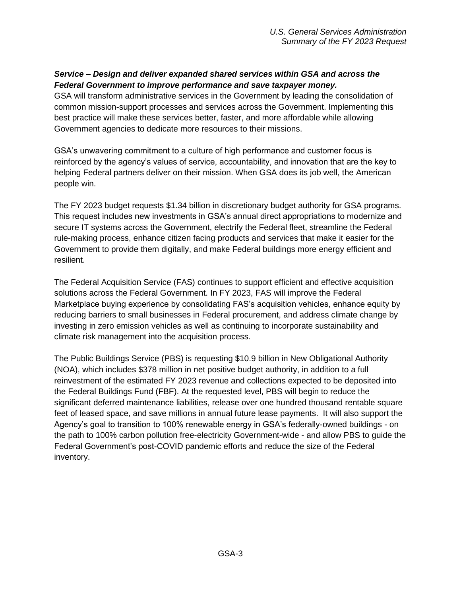### *Service – Design and deliver expanded shared services within GSA and across the Federal Government to improve performance and save taxpayer money.*

GSA will transform administrative services in the Government by leading the consolidation of common mission-support processes and services across the Government. Implementing this best practice will make these services better, faster, and more affordable while allowing Government agencies to dedicate more resources to their missions.

GSA's unwavering commitment to a culture of high performance and customer focus is reinforced by the agency's values of service, accountability, and innovation that are the key to helping Federal partners deliver on their mission. When GSA does its job well, the American people win.

The FY 2023 budget requests \$1.34 billion in discretionary budget authority for GSA programs. This request includes new investments in GSA's annual direct appropriations to modernize and secure IT systems across the Government, electrify the Federal fleet, streamline the Federal rule-making process, enhance citizen facing products and services that make it easier for the Government to provide them digitally, and make Federal buildings more energy efficient and resilient.

The Federal Acquisition Service (FAS) continues to support efficient and effective acquisition solutions across the Federal Government. In FY 2023, FAS will improve the Federal Marketplace buying experience by consolidating FAS's acquisition vehicles, enhance equity by reducing barriers to small businesses in Federal procurement, and address climate change by investing in zero emission vehicles as well as continuing to incorporate sustainability and climate risk management into the acquisition process.

The Public Buildings Service (PBS) is requesting \$10.9 billion in New Obligational Authority (NOA), which includes \$378 million in net positive budget authority, in addition to a full reinvestment of the estimated FY 2023 revenue and collections expected to be deposited into the Federal Buildings Fund (FBF). At the requested level, PBS will begin to reduce the significant deferred maintenance liabilities, release over one hundred thousand rentable square feet of leased space, and save millions in annual future lease payments. It will also support the Agency's goal to transition to 100% renewable energy in GSA's federally-owned buildings - on the path to 100% carbon pollution free-electricity Government-wide - and allow PBS to guide the Federal Government's post-COVID pandemic efforts and reduce the size of the Federal inventory.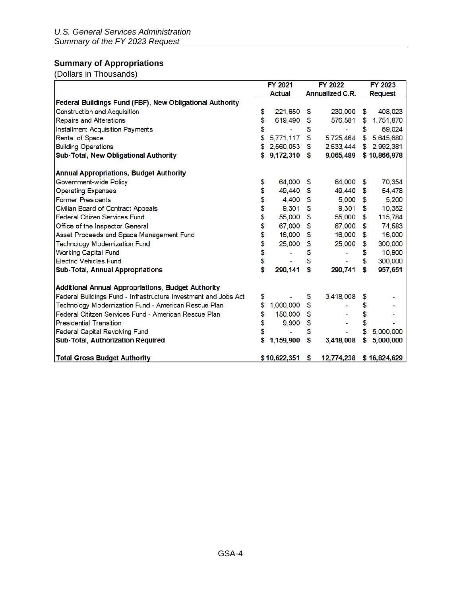## <span id="page-3-0"></span>**Summary of Appropriations**

(Dollars in Thousands)

|                                                                 |          | <b>FY 2021</b>   | <b>FY 2022</b>          | <b>FY 2023</b>  |
|-----------------------------------------------------------------|----------|------------------|-------------------------|-----------------|
|                                                                 |          | <b>Actual</b>    | <b>Annualized C.R.</b>  | <b>Request</b>  |
| Federal Buildings Fund (FBF), New Obligational Authority        |          |                  |                         |                 |
| <b>Construction and Acquisition</b>                             | \$       | 221,650          | \$<br>230,000           | \$<br>408,023   |
| <b>Repairs and Alterations</b>                                  | \$       | 619,490          | \$<br>576,581           | \$<br>1,751,870 |
| <b>Installment Acquisition Payments</b>                         | \$       |                  | \$<br>۰                 | \$<br>69,024    |
| Rental of Space                                                 | \$       | 5,771,117        | \$<br>5,725,464         | \$<br>5,645,680 |
| <b>Building Operations</b>                                      | S        | 2,560,053        | \$<br>2,533,444         | \$2,992,381     |
| Sub-Total, New Obligational Authority                           | s        | 9,172,310 \$     | 9,065,489               | \$10,866,978    |
| <b>Annual Appropriations, Budget Authority</b>                  |          |                  |                         |                 |
| Government-wide Policy                                          | \$       | 64,000           | \$<br>64,000            | \$<br>70,354    |
| <b>Operating Expenses</b>                                       | \$       | 49,440           | \$<br>49,440            | \$<br>54,478    |
| <b>Former Presidents</b>                                        | \$       | 4,400            | \$<br>5,000             | \$<br>5,200     |
| Civilian Board of Contract Appeals                              | \$<br>\$ | 9,301            | \$<br>9,301             | \$<br>10,352    |
| <b>Federal Citizen Services Fund</b>                            |          | 55,000           | \$<br>55,000            | \$<br>115,784   |
| Office of the Inspector General                                 | \$       | 67,000           | \$<br>67,000            | \$<br>74,583    |
| Asset Proceeds and Space Management Fund                        | \$       | 16,000           | \$<br>16,000            | \$<br>16,000    |
| <b>Technology Modernization Fund</b>                            | \$       | 25,000           | \$<br>25,000            | \$<br>300,000   |
| <b>Working Capital Fund</b>                                     | \$       |                  | \$                      | \$<br>10,900    |
| <b>Electric Vehicles Fund</b>                                   |          |                  | \$                      | \$<br>300,000   |
| <b>Sub-Total, Annual Appropriations</b>                         | \$       | 290,141          | \$<br>290,741           | \$<br>957,651   |
| <b>Additional Annual Appropriations, Budget Authority</b>       |          |                  |                         |                 |
| Federal Buildings Fund - Infrastructure Investment and Jobs Act | \$       |                  | \$<br>3,418,008         | \$              |
| Technology Modernization Fund - American Rescue Plan            | \$       | 1,000,000        | \$                      | \$              |
| Federal Cititzen Services Fund - American Rescue Plan           | \$       | 150,000          | \$                      | \$              |
| <b>Presidential Transition</b>                                  | \$       | 9,900            | \$                      |                 |
| <b>Federal Capital Revolving Fund</b>                           | \$       |                  | \$                      | \$<br>5,000,000 |
| Sub-Total, Authorization Required                               | \$       | 1,159,900        | \$<br>3,418,008         | \$<br>5,000,000 |
| <b>Total Gross Budget Authority</b>                             |          | $$10,622,351$ \$ | 12,774,238 \$16,824,629 |                 |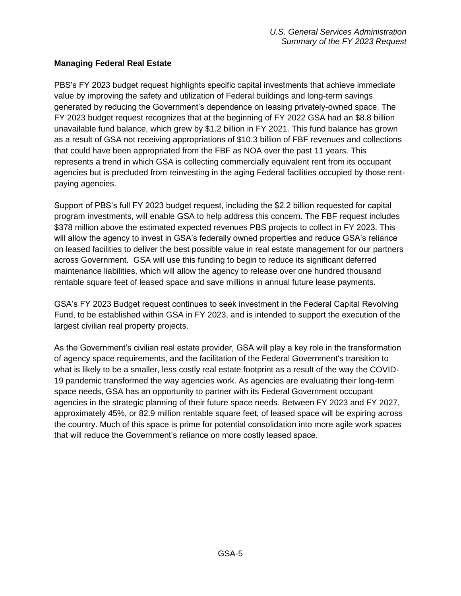### <span id="page-4-0"></span>**Managing Federal Real Estate**

PBS's FY 2023 budget request highlights specific capital investments that achieve immediate value by improving the safety and utilization of Federal buildings and long-term savings generated by reducing the Government's dependence on leasing privately-owned space. The FY 2023 budget request recognizes that at the beginning of FY 2022 GSA had an \$8.8 billion unavailable fund balance, which grew by \$1.2 billion in FY 2021. This fund balance has grown as a result of GSA not receiving appropriations of \$10.3 billion of FBF revenues and collections that could have been appropriated from the FBF as NOA over the past 11 years. This represents a trend in which GSA is collecting commercially equivalent rent from its occupant agencies but is precluded from reinvesting in the aging Federal facilities occupied by those rentpaying agencies.

Support of PBS's full FY 2023 budget request, including the \$2.2 billion requested for capital program investments, will enable GSA to help address this concern. The FBF request includes \$378 million above the estimated expected revenues PBS projects to collect in FY 2023. This will allow the agency to invest in GSA's federally owned properties and reduce GSA's reliance on leased facilities to deliver the best possible value in real estate management for our partners across Government. GSA will use this funding to begin to reduce its significant deferred maintenance liabilities, which will allow the agency to release over one hundred thousand rentable square feet of leased space and save millions in annual future lease payments.

GSA's FY 2023 Budget request continues to seek investment in the Federal Capital Revolving Fund, to be established within GSA in FY 2023, and is intended to support the execution of the largest civilian real property projects.

As the Government's civilian real estate provider, GSA will play a key role in the transformation of agency space requirements, and the facilitation of the Federal Government's transition to what is likely to be a smaller, less costly real estate footprint as a result of the way the COVID-19 pandemic transformed the way agencies work. As agencies are evaluating their long-term space needs, GSA has an opportunity to partner with its Federal Government occupant agencies in the strategic planning of their future space needs. Between FY 2023 and FY 2027, approximately 45%, or 82.9 million rentable square feet, of leased space will be expiring across the country. Much of this space is prime for potential consolidation into more agile work spaces that will reduce the Government's reliance on more costly leased space.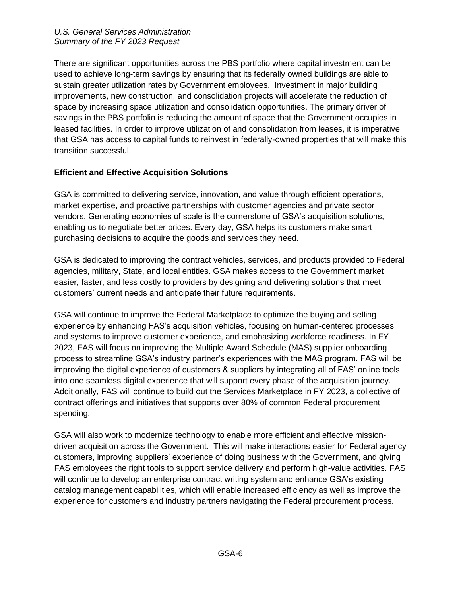There are significant opportunities across the PBS portfolio where capital investment can be used to achieve long-term savings by ensuring that its federally owned buildings are able to sustain greater utilization rates by Government employees. Investment in major building improvements, new construction, and consolidation projects will accelerate the reduction of space by increasing space utilization and consolidation opportunities. The primary driver of savings in the PBS portfolio is reducing the amount of space that the Government occupies in leased facilities. In order to improve utilization of and consolidation from leases, it is imperative that GSA has access to capital funds to reinvest in federally-owned properties that will make this transition successful.

### <span id="page-5-0"></span>**Efficient and Effective Acquisition Solutions**

GSA is committed to delivering service, innovation, and value through efficient operations, market expertise, and proactive partnerships with customer agencies and private sector vendors. Generating economies of scale is the cornerstone of GSA's acquisition solutions, enabling us to negotiate better prices. Every day, GSA helps its customers make smart purchasing decisions to acquire the goods and services they need.

GSA is dedicated to improving the contract vehicles, services, and products provided to Federal agencies, military, State, and local entities. GSA makes access to the Government market easier, faster, and less costly to providers by designing and delivering solutions that meet customers' current needs and anticipate their future requirements.

GSA will continue to improve the Federal Marketplace to optimize the buying and selling experience by enhancing FAS's acquisition vehicles, focusing on human-centered processes and systems to improve customer experience, and emphasizing workforce readiness. In FY 2023, FAS will focus on improving the Multiple Award Schedule (MAS) supplier onboarding process to streamline GSA's industry partner's experiences with the MAS program. FAS will be improving the digital experience of customers & suppliers by integrating all of FAS' online tools into one seamless digital experience that will support every phase of the acquisition journey. Additionally, FAS will continue to build out the Services Marketplace in FY 2023, a collective of contract offerings and initiatives that supports over 80% of common Federal procurement spending.

GSA will also work to modernize technology to enable more efficient and effective missiondriven acquisition across the Government. This will make interactions easier for Federal agency customers, improving suppliers' experience of doing business with the Government, and giving FAS employees the right tools to support service delivery and perform high-value activities. FAS will continue to develop an enterprise contract writing system and enhance GSA's existing catalog management capabilities, which will enable increased efficiency as well as improve the experience for customers and industry partners navigating the Federal procurement process.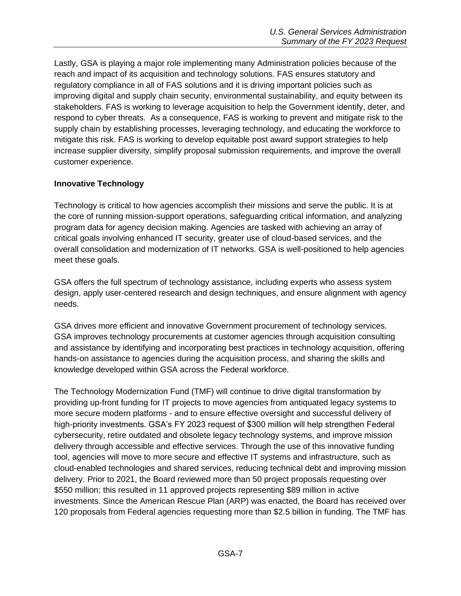Lastly, GSA is playing a major role implementing many Administration policies because of the reach and impact of its acquisition and technology solutions. FAS ensures statutory and regulatory compliance in all of FAS solutions and it is driving important policies such as improving digital and supply chain security, environmental sustainability, and equity between its stakeholders. FAS is working to leverage acquisition to help the Government identify, deter, and respond to cyber threats. As a consequence, FAS is working to prevent and mitigate risk to the supply chain by establishing processes, leveraging technology, and educating the workforce to mitigate this risk. FAS is working to develop equitable post award support strategies to help increase supplier diversity, simplify proposal submission requirements, and improve the overall customer experience.

### <span id="page-6-0"></span>**Innovative Technology**

Technology is critical to how agencies accomplish their missions and serve the public. It is at the core of running mission-support operations, safeguarding critical information, and analyzing program data for agency decision making. Agencies are tasked with achieving an array of critical goals involving enhanced IT security, greater use of cloud-based services, and the overall consolidation and modernization of IT networks. GSA is well-positioned to help agencies meet these goals.

GSA offers the full spectrum of technology assistance, including experts who assess system design, apply user-centered research and design techniques, and ensure alignment with agency needs.

GSA drives more efficient and innovative Government procurement of technology services. GSA improves technology procurements at customer agencies through acquisition consulting and assistance by identifying and incorporating best practices in technology acquisition, offering hands-on assistance to agencies during the acquisition process, and sharing the skills and knowledge developed within GSA across the Federal workforce.

The Technology Modernization Fund (TMF) will continue to drive digital transformation by providing up-front funding for IT projects to move agencies from antiquated legacy systems to more secure modern platforms - and to ensure effective oversight and successful delivery of high-priority investments. GSA's FY 2023 request of \$300 million will help strengthen Federal cybersecurity, retire outdated and obsolete legacy technology systems, and improve mission delivery through accessible and effective services. Through the use of this innovative funding tool, agencies will move to more secure and effective IT systems and infrastructure, such as cloud-enabled technologies and shared services, reducing technical debt and improving mission delivery. Prior to 2021, the Board reviewed more than 50 project proposals requesting over \$550 million; this resulted in 11 approved projects representing \$89 million in active investments. Since the American Rescue Plan (ARP) was enacted, the Board has received over 120 proposals from Federal agencies requesting more than \$2.5 billion in funding. The TMF has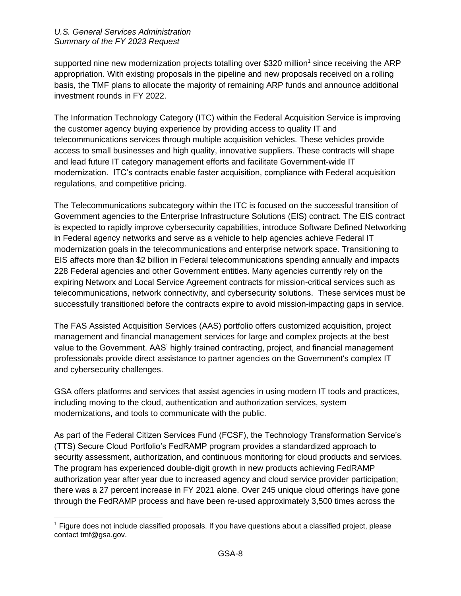supported nine new modernization projects totalling over \$320 million<sup>1</sup> since receiving the ARP appropriation. With existing proposals in the pipeline and new proposals received on a rolling basis, the TMF plans to allocate the majority of remaining ARP funds and announce additional investment rounds in FY 2022.

The Information Technology Category (ITC) within the Federal Acquisition Service is improving the customer agency buying experience by providing access to quality IT and telecommunications services through multiple acquisition vehicles. These vehicles provide access to small businesses and high quality, innovative suppliers. These contracts will shape and lead future IT category management efforts and facilitate Government-wide IT modernization. ITC's contracts enable faster acquisition, compliance with Federal acquisition regulations, and competitive pricing.

The Telecommunications subcategory within the ITC is focused on the successful transition of Government agencies to the Enterprise Infrastructure Solutions (EIS) contract. The EIS contract is expected to rapidly improve cybersecurity capabilities, introduce Software Defined Networking in Federal agency networks and serve as a vehicle to help agencies achieve Federal IT modernization goals in the telecommunications and enterprise network space. Transitioning to EIS affects more than \$2 billion in Federal telecommunications spending annually and impacts 228 Federal agencies and other Government entities. Many agencies currently rely on the expiring Networx and Local Service Agreement contracts for mission-critical services such as telecommunications, network connectivity, and cybersecurity solutions. These services must be successfully transitioned before the contracts expire to avoid mission-impacting gaps in service.

The FAS Assisted Acquisition Services (AAS) portfolio offers customized acquisition, project management and financial management services for large and complex projects at the best value to the Government. AAS' highly trained contracting, project, and financial management professionals provide direct assistance to partner agencies on the Government's complex IT and cybersecurity challenges.

GSA offers platforms and services that assist agencies in using modern IT tools and practices, including moving to the cloud, authentication and authorization services, system modernizations, and tools to communicate with the public.

As part of the Federal Citizen Services Fund (FCSF), the Technology Transformation Service's (TTS) Secure Cloud Portfolio's FedRAMP program provides a standardized approach to security assessment, authorization, and continuous monitoring for cloud products and services. The program has experienced double-digit growth in new products achieving FedRAMP authorization year after year due to increased agency and cloud service provider participation; there was a 27 percent increase in FY 2021 alone. Over 245 unique cloud offerings have gone through the FedRAMP process and have been re-used approximately 3,500 times across the

 $1$  Figure does not include classified proposals. If you have questions about a classified project, please contact tmf@gsa.gov.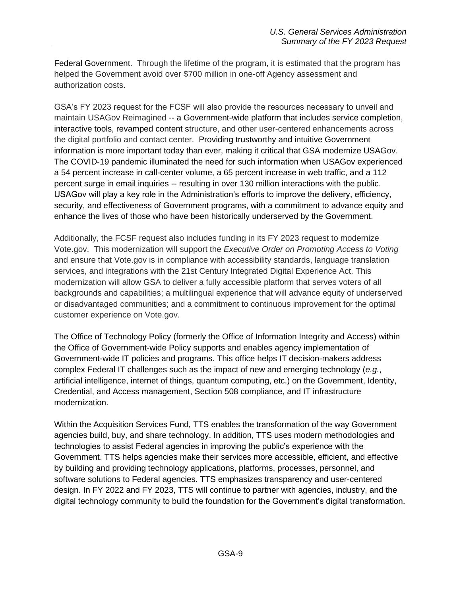Federal Government. Through the lifetime of the program, it is estimated that the program has helped the Government avoid over \$700 million in one-off Agency assessment and authorization costs.

GSA's FY 2023 request for the FCSF will also provide the resources necessary to unveil and maintain USAGov Reimagined -- a Government-wide platform that includes service completion, interactive tools, revamped content structure, and other user-centered enhancements across the digital portfolio and contact center. Providing trustworthy and intuitive Government information is more important today than ever, making it critical that GSA modernize USAGov. The COVID-19 pandemic illuminated the need for such information when USAGov experienced a 54 percent increase in call-center volume, a 65 percent increase in web traffic, and a 112 percent surge in email inquiries -- resulting in over 130 million interactions with the public. USAGov will play a key role in the Administration's efforts to improve the delivery, efficiency, security, and effectiveness of Government programs, with a commitment to advance equity and enhance the lives of those who have been historically underserved by the Government.

Additionally, the FCSF request also includes funding in its FY 2023 request to modernize Vote.gov. This modernization will support the *Executive Order on Promoting Access to Voting* and ensure that Vote.gov is in compliance with accessibility standards, language translation services, and integrations with the 21st Century Integrated Digital Experience Act. This modernization will allow GSA to deliver a fully accessible platform that serves voters of all backgrounds and capabilities; a multilingual experience that will advance equity of underserved or disadvantaged communities; and a commitment to continuous improvement for the optimal customer experience on Vote.gov.

The Office of Technology Policy (formerly the Office of Information Integrity and Access) within the Office of Government-wide Policy supports and enables agency implementation of Government-wide IT policies and programs. This office helps IT decision-makers address complex Federal IT challenges such as the impact of new and emerging technology (*e.g.*, artificial intelligence, internet of things, quantum computing, etc.) on the Government, Identity, Credential, and Access management, Section 508 compliance, and IT infrastructure modernization.

Within the Acquisition Services Fund, TTS enables the transformation of the way Government agencies build, buy, and share technology. In addition, TTS uses modern methodologies and technologies to assist Federal agencies in improving the public's experience with the Government. TTS helps agencies make their services more accessible, efficient, and effective by building and providing technology applications, platforms, processes, personnel, and software solutions to Federal agencies. TTS emphasizes transparency and user-centered design. In FY 2022 and FY 2023, TTS will continue to partner with agencies, industry, and the digital technology community to build the foundation for the Government's digital transformation.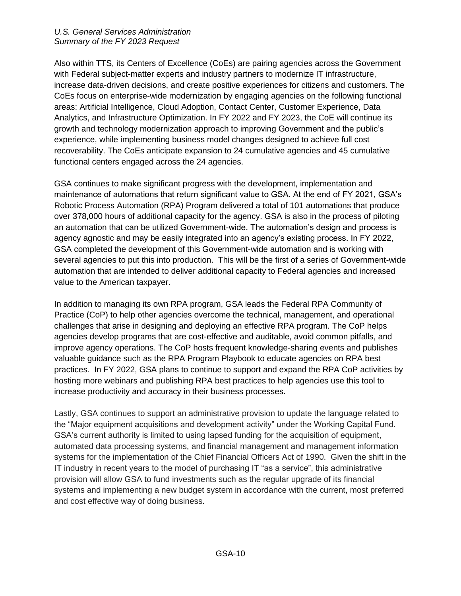Also within TTS, its Centers of Excellence (CoEs) are pairing agencies across the Government with Federal subject-matter experts and industry partners to modernize IT infrastructure, increase data-driven decisions, and create positive experiences for citizens and customers. The CoEs focus on enterprise-wide modernization by engaging agencies on the following functional areas: Artificial Intelligence, Cloud Adoption, Contact Center, Customer Experience, Data Analytics, and Infrastructure Optimization. In FY 2022 and FY 2023, the CoE will continue its growth and technology modernization approach to improving Government and the public's experience, while implementing business model changes designed to achieve full cost recoverability. The CoEs anticipate expansion to 24 cumulative agencies and 45 cumulative functional centers engaged across the 24 agencies.

GSA continues to make significant progress with the development, implementation and maintenance of automations that return significant value to GSA. At the end of FY 2021, GSA's Robotic Process Automation (RPA) Program delivered a total of 101 automations that produce over 378,000 hours of additional capacity for the agency. GSA is also in the process of piloting an automation that can be utilized Government-wide. The automation's design and process is agency agnostic and may be easily integrated into an agency's existing process. In FY 2022, GSA completed the development of this Government-wide automation and is working with several agencies to put this into production. This will be the first of a series of Government-wide automation that are intended to deliver additional capacity to Federal agencies and increased value to the American taxpayer.

In addition to managing its own RPA program, GSA leads the Federal RPA Community of Practice (CoP) to help other agencies overcome the technical, management, and operational challenges that arise in designing and deploying an effective RPA program. The CoP helps agencies develop programs that are cost-effective and auditable, avoid common pitfalls, and improve agency operations. The CoP hosts frequent knowledge-sharing events and publishes valuable guidance such as the RPA Program Playbook to educate agencies on RPA best practices. In FY 2022, GSA plans to continue to support and expand the RPA CoP activities by hosting more webinars and publishing RPA best practices to help agencies use this tool to increase productivity and accuracy in their business processes.

Lastly, GSA continues to support an administrative provision to update the language related to the "Major equipment acquisitions and development activity" under the Working Capital Fund. GSA's current authority is limited to using lapsed funding for the acquisition of equipment, automated data processing systems, and financial management and management information systems for the implementation of the Chief Financial Officers Act of 1990. Given the shift in the IT industry in recent years to the model of purchasing IT "as a service", this administrative provision will allow GSA to fund investments such as the regular upgrade of its financial systems and implementing a new budget system in accordance with the current, most preferred and cost effective way of doing business.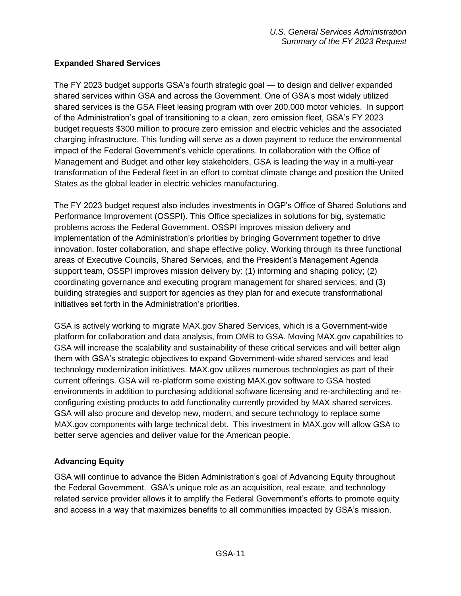### <span id="page-10-0"></span>**Expanded Shared Services**

The FY 2023 budget supports GSA's fourth strategic goal — to design and deliver expanded shared services within GSA and across the Government. One of GSA's most widely utilized shared services is the GSA Fleet leasing program with over 200,000 motor vehicles. In support of the Administration's goal of transitioning to a clean, zero emission fleet, GSA's FY 2023 budget requests \$300 million to procure zero emission and electric vehicles and the associated charging infrastructure. This funding will serve as a down payment to reduce the environmental impact of the Federal Government's vehicle operations. In collaboration with the Office of Management and Budget and other key stakeholders, GSA is leading the way in a multi-year transformation of the Federal fleet in an effort to combat climate change and position the United States as the global leader in electric vehicles manufacturing.

The FY 2023 budget request also includes investments in OGP's Office of Shared Solutions and Performance Improvement (OSSPI). This Office specializes in solutions for big, systematic problems across the Federal Government. OSSPI improves mission delivery and implementation of the Administration's priorities by bringing Government together to drive innovation, foster collaboration, and shape effective policy. Working through its three functional areas of Executive Councils, Shared Services, and the President's Management Agenda support team, OSSPI improves mission delivery by: (1) informing and shaping policy; (2) coordinating governance and executing program management for shared services; and (3) building strategies and support for agencies as they plan for and execute transformational initiatives set forth in the Administration's priorities.

GSA is actively working to migrate MAX.gov Shared Services, which is a Government-wide platform for collaboration and data analysis, from OMB to GSA. Moving MAX.gov capabilities to GSA will increase the scalability and sustainability of these critical services and will better align them with GSA's strategic objectives to expand Government-wide shared services and lead technology modernization initiatives. MAX.gov utilizes numerous technologies as part of their current offerings. GSA will re-platform some existing MAX.gov software to GSA hosted environments in addition to purchasing additional software licensing and re-architecting and reconfiguring existing products to add functionality currently provided by MAX shared services. GSA will also procure and develop new, modern, and secure technology to replace some MAX.gov components with large technical debt. This investment in MAX.gov will allow GSA to better serve agencies and deliver value for the American people.

### <span id="page-10-1"></span>**Advancing Equity**

GSA will continue to advance the Biden Administration's goal of Advancing Equity throughout the Federal Government. GSA's unique role as an acquisition, real estate, and technology related service provider allows it to amplify the Federal Government's efforts to promote equity and access in a way that maximizes benefits to all communities impacted by GSA's mission.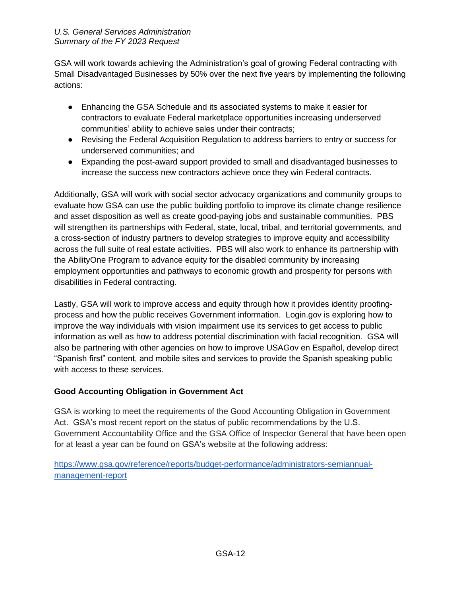GSA will work towards achieving the Administration's goal of growing Federal contracting with Small Disadvantaged Businesses by 50% over the next five years by implementing the following actions:

- Enhancing the GSA Schedule and its associated systems to make it easier for contractors to evaluate Federal marketplace opportunities increasing underserved communities' ability to achieve sales under their contracts;
- Revising the Federal Acquisition Regulation to address barriers to entry or success for underserved communities; and
- Expanding the post-award support provided to small and disadvantaged businesses to increase the success new contractors achieve once they win Federal contracts.

Additionally, GSA will work with social sector advocacy organizations and community groups to evaluate how GSA can use the public building portfolio to improve its climate change resilience and asset disposition as well as create good-paying jobs and sustainable communities. PBS will strengthen its partnerships with Federal, state, local, tribal, and territorial governments, and a cross-section of industry partners to develop strategies to improve equity and accessibility across the full suite of real estate activities. PBS will also work to enhance its partnership with the AbilityOne Program to advance equity for the disabled community by increasing employment opportunities and pathways to economic growth and prosperity for persons with disabilities in Federal contracting.

Lastly, GSA will work to improve access and equity through how it provides identity proofingprocess and how the public receives Government information. Login.gov is exploring how to improve the way individuals with vision impairment use its services to get access to public information as well as how to address potential discrimination with facial recognition. GSA will also be partnering with other agencies on how to improve USAGov en Español, develop direct "Spanish first" content, and mobile sites and services to provide the Spanish speaking public with access to these services.

#### <span id="page-11-0"></span>**Good Accounting Obligation in Government Act**

GSA is working to meet the requirements of the Good Accounting Obligation in Government Act. GSA's most recent report on the status of public recommendations by the U.S. Government Accountability Office and the GSA Office of Inspector General that have been open for at least a year can be found on GSA's website at the following address:

[https://www.gsa.gov/reference/reports/budget-performance/administrators-semiannual](https://www.gsa.gov/reference/reports/budget-performance/administrators-semiannual-management-report)[management-report](https://www.gsa.gov/reference/reports/budget-performance/administrators-semiannual-management-report)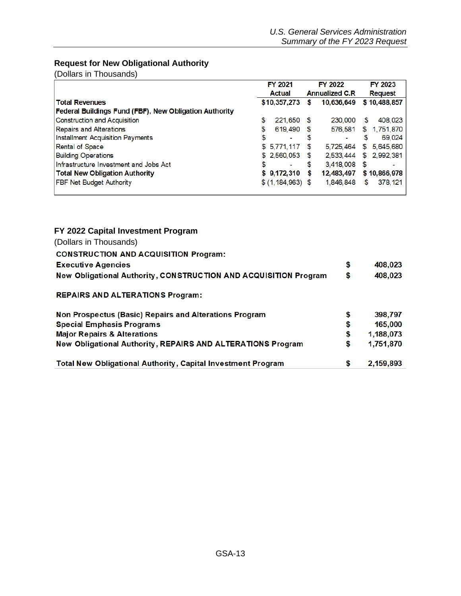## <span id="page-12-0"></span>**Request for New Obligational Authority**

(Dollars in Thousands)

|                                                        | <b>FY 2021</b>       |      | <b>FY 2022</b>         | <b>FY 2023</b>   |
|--------------------------------------------------------|----------------------|------|------------------------|------------------|
|                                                        | <b>Actual</b>        |      | <b>Annualized C.R.</b> | <b>Request</b>   |
| <b>Total Revenues</b>                                  | \$10,357,273         | s    | 10,636,649             | \$10,488,857     |
| Federal Buildings Fund (FBF), New Obligation Authority |                      |      |                        |                  |
| Construction and Acquisition                           | \$<br>221,650        | - 56 | 230,000                | \$<br>408,023    |
| <b>Repairs and Alterations</b>                         | \$<br>619,490        | S    | 576,581                | 1,751,870<br>\$  |
| <b>Installment Acquisition Payments</b>                | \$<br>٠              | S    |                        | 69.024<br>S      |
| Rental of Space                                        | \$5,771,117          | S    | 5.725.464              | 5,645,680<br>\$. |
| <b>Building Operations</b>                             | \$ 2,560,053         | \$.  | 2,533,444              | \$ 2,992,381     |
| Infrastructure Investment and Jobs Act                 | \$<br>$\blacksquare$ | S    | 3.418,008              | - \$             |
| <b>Total New Obligation Authority</b>                  | \$9,172,310          | S    | 12,483,497             | \$10,866,978     |
| <b>FBF Net Budget Authority</b>                        | \$ (1, 184, 963) \$  |      | 1,846,848              | 378, 121<br>\$   |

#### <span id="page-12-1"></span>**FY 2022 Capital Investment Program**

| (Dollars in Thousands)                                                  |    |           |
|-------------------------------------------------------------------------|----|-----------|
| <b>CONSTRUCTION AND ACQUISITION Program:</b>                            |    |           |
| <b>Executive Agencies</b>                                               | \$ | 408,023   |
| <b>New Obligational Authority, CONSTRUCTION AND ACQUISITION Program</b> | \$ | 408,023   |
| <b>REPAIRS AND ALTERATIONS Program:</b>                                 |    |           |
| Non Prospectus (Basic) Repairs and Alterations Program                  | \$ | 398,797   |
| <b>Special Emphasis Programs</b>                                        | \$ | 165,000   |
| <b>Major Repairs &amp; Alterations</b>                                  | \$ | 1,188,073 |
| <b>New Obligational Authority, REPAIRS AND ALTERATIONS Program</b>      | S  | 1,751,870 |
| <b>Total New Obligational Authority, Capital Investment Program</b>     | S  | 2,159,893 |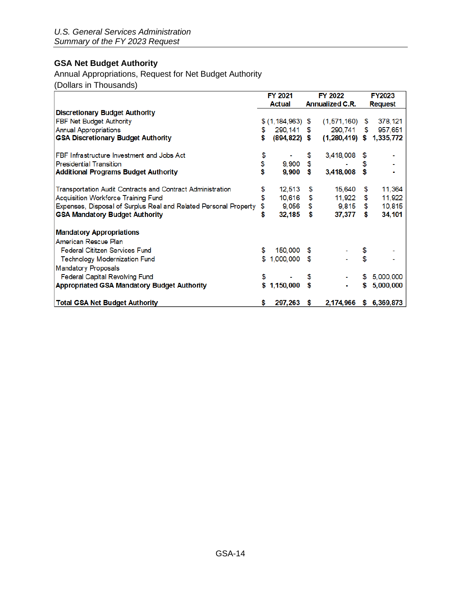## <span id="page-13-0"></span>**GSA Net Budget Authority**

## Annual Appropriations, Request for Net Budget Authority

(Dollars in Thousands)

|                                                                   |    | <b>FY 2021</b>       | <b>FY 2022</b>         |    | <b>FY2023</b>          |
|-------------------------------------------------------------------|----|----------------------|------------------------|----|------------------------|
|                                                                   |    | Actual               | <b>Annualized C.R.</b> |    | <b>Request</b>         |
| <b>Discretionary Budget Authority</b>                             |    |                      |                        |    |                        |
| FBF Net Budget Authority                                          |    | $$ (1, 184, 963)$ \$ | (1,571,160)            | \$ | 378, 121               |
| <b>Annual Appropriations</b>                                      | \$ | 290, 141             | \$<br>290,741          |    | 957,651<br>\$          |
| <b>GSA Discretionary Budget Authority</b>                         | \$ | $(894, 822)$ \$      | $(1,280,419)$ \$       |    | 1,335,772              |
| FBF Infrastructure Investment and Jobs Act                        | \$ |                      | \$<br>3,418,008        |    |                        |
| <b>Presidential Transition</b>                                    | \$ | 9,900                | \$                     | S  |                        |
| <b>Additional Programs Budget Authority</b>                       | \$ | $9,900$ \$           | 3,418,008              | \$ |                        |
| <b>Transportation Audit Contracts and Contract Administration</b> | \$ | 12,513               | \$<br>15,640           | \$ | 11,364                 |
| <b>Acquisition Workforce Training Fund</b>                        | \$ | 10,616               | \$<br>11,922           | \$ | 11,922                 |
| Expenses, Disposal of Surplus Real and Related Personal Property  | \$ | 9,056                | \$<br>9,815            | \$ | 10,815                 |
| <b>GSA Mandatory Budget Authority</b>                             | \$ | 32,185               | \$<br>37,377           | \$ | 34,101                 |
| <b>Mandatory Appropriations</b>                                   |    |                      |                        |    |                        |
| American Rescue Plan                                              |    |                      |                        |    |                        |
| <b>Federal Cititzen Services Fund</b>                             | \$ | 150,000 \$           |                        | \$ |                        |
| <b>Technology Modernization Fund</b>                              | \$ | 1,000,000 \$         |                        | \$ |                        |
| <b>Mandatory Proposals</b>                                        |    |                      |                        |    |                        |
| <b>Federal Capital Revolving Fund</b>                             | \$ |                      | \$                     | S  | 5,000,000              |
| <b>Appropriated GSA Mandatory Budget Authority</b>                |    | \$1,150,000          | \$                     | S  | 5,000,000              |
| <b>Total GSA Net Budget Authority</b>                             | S  | 297,263 \$           |                        |    | 2,174,966 \$ 6,369,873 |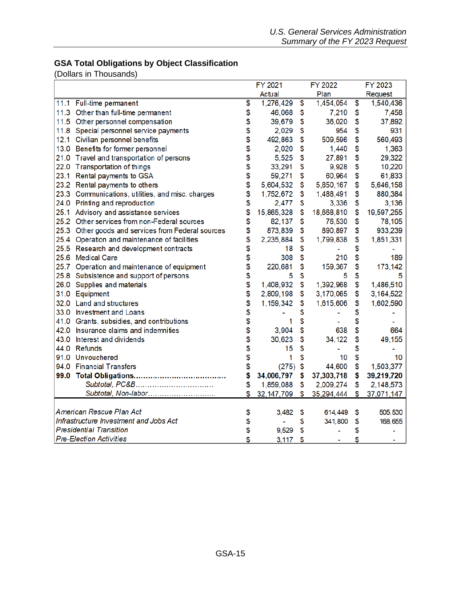## <span id="page-14-0"></span>**GSA Total Obligations by Object Classification**

(Dollars in Thousands)

|      |                                                    | FY 2021            | FY 2022          | FY 2023          |
|------|----------------------------------------------------|--------------------|------------------|------------------|
|      |                                                    | Actual             | Plan             | Request          |
|      | 11.1 Full-time permanent                           | \$<br>1,276,429    | \$<br>1,454,054  | \$<br>1,540,436  |
|      | 11.3 Other than full-time permanent                | \$<br>46,068       | \$<br>7,210      | \$<br>7,458      |
|      | 11.5 Other personnel compensation                  | \$<br>39,679       | \$<br>36,020     | \$<br>37,892     |
|      | 11.8 Special personnel service payments            | \$<br>2,029        | \$<br>954        | \$<br>931        |
|      | 12.1 Civilian personnel benefits                   | \$<br>492,863      | \$<br>509,596    | \$<br>560,493    |
|      | 13.0 Benefits for former personnel                 | \$<br>2,020        | \$<br>1,440      | \$<br>1,363      |
|      | 21.0 Travel and transportation of persons          | \$<br>5,525        | \$<br>27,891     | \$<br>29,322     |
|      | 22.0 Transportation of things                      | \$<br>33,291       | \$<br>9,928      | \$<br>10,220     |
|      | 23.1 Rental payments to GSA                        | \$<br>59,271       | \$<br>60,964     | \$<br>61,833     |
|      | 23.2 Rental payments to others                     | \$<br>5,604,532    | \$<br>5,850,167  | \$<br>5,646,158  |
|      | 23.3 Communications, utilities, and misc. charges  | \$<br>1,752,672    | \$<br>1,488,491  | \$<br>880,384    |
|      | 24.0 Printing and reproduction                     | \$<br>2,477        | \$<br>3,336      | \$<br>3,136      |
| 25.1 | Advisory and assistance services                   | \$<br>15,865,328   | \$<br>18,668,810 | \$<br>19,597,255 |
|      | 25.2 Other services from non-Federal sources       | \$<br>82,137       | \$<br>76,530     | \$<br>78,105     |
|      | 25.3 Other goods and services from Federal sources | \$<br>873,839      | \$<br>890,897    | \$<br>933,239    |
|      | 25.4 Operation and maintenance of facilities       | \$<br>2,235,884    | \$<br>1,799,838  | \$<br>1,851,331  |
|      | 25.5 Research and development contracts            | \$<br>18           | \$               | \$               |
|      | 25.6 Medical Care                                  | \$<br>308          | \$<br>210        | \$<br>189        |
|      | 25.7 Operation and maintenance of equipment        | \$<br>220,681      | \$<br>159,367    | \$<br>173,142    |
|      | 25.8 Subsistence and support of persons            | \$<br>5            | \$<br>5          | \$<br>5          |
| 26.0 | Supplies and materials                             | \$<br>1,408,932    | \$<br>1,392,968  | \$<br>1,486,510  |
|      | 31.0 Equipment                                     | \$<br>2,809,198    | \$<br>3,170,065  | \$<br>3,164,522  |
|      | 32.0 Land and structures                           | \$<br>1,159,342    | \$<br>1,615,606  | \$<br>1,602,590  |
|      | 33.0 Investment and Loans                          | \$                 | \$               | \$               |
|      | 41.0 Grants, subsidies, and contributions          | \$<br>1            | \$               | \$               |
|      | 42.0 Insurance claims and indemnities              | \$<br>3,904        | \$<br>638        | \$<br>664        |
|      | 43.0 Interest and dividends                        | \$<br>30,623       | \$<br>34,122     | \$<br>49,155     |
|      | 44.0 Refunds                                       | \$<br>15           | \$               | \$               |
|      | 91.0 Unvouchered                                   | \$<br>1            | \$<br>10         | \$<br>10         |
|      | 94.0 Financial Transfers                           | \$<br>(275)        | \$<br>44,600     | \$<br>1,503,377  |
|      |                                                    | \$<br>34,006,797   | \$<br>37,303,718 | \$<br>39,219,720 |
|      | Subtotal, PC&B                                     | \$<br>1,859,088    | \$<br>2,009,274  | \$<br>2,148,573  |
|      | Subtotal, Non-labor                                | \$<br>32, 147, 709 | \$<br>35,294,444 | \$<br>37,071,147 |
|      |                                                    |                    |                  |                  |
|      | American Rescue Plan Act                           | \$<br>3,482        | \$<br>614,449    | \$<br>505,530    |
|      | Infrastructure Investment and Jobs Act             | \$                 | \$<br>341,800    | \$<br>168,655    |
|      | <b>Presidential Transition</b>                     | \$<br>9,529        | \$               | \$               |
|      | <b>Pre-Election Activities</b>                     | \$<br>3,117        | \$               | \$               |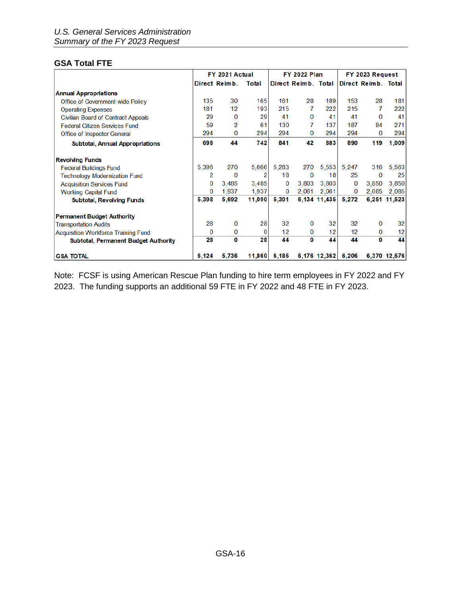### <span id="page-15-0"></span>**GSA Total FTE**

|                                             |          | FY 2021 Actual |                |       | <b>FY 2022 Plan</b> |              |       | FY 2023 Request     |              |
|---------------------------------------------|----------|----------------|----------------|-------|---------------------|--------------|-------|---------------------|--------------|
|                                             |          | Direct Reimb.  | Total          |       | Direct Reimb. Total |              |       | Direct Reimb. Total |              |
| <b>Annual Appropriations</b>                |          |                |                |       |                     |              |       |                     |              |
| Office of Government-wide Policy            | 135      | 30             | 165            | 161   | 28                  | 189          | 153   | 28                  | 181          |
| <b>Operating Expenses</b>                   | 181      | 12             | 193            | 215   | 7                   | 222          | 215   | 7                   | 222          |
| <b>Civilian Board of Contract Appeals</b>   | 29       | 0              | 29             | 41    | $\bf{0}$            | 41           | 41    | $\Omega$            | 41           |
| <b>Federal Citizen Services Fund</b>        | 59       | 2              | 61             | 130   | 7                   | 137          | 187   | 84                  | 271          |
| Office of Inspector General                 | 294      | 0              | 294            | 294   | 0                   | 294          | 294   | 0                   | 294          |
| <b>Subtotal, Annual Appropriations</b>      | 698      | 44             | 742            | 841   | 42                  | 883          | 890   | 119                 | 1,009        |
| <b>Revolving Funds</b>                      |          |                |                |       |                     |              |       |                     |              |
| <b>Federal Buildings Fund</b>               | 5,396    | 270            | 5,666          | 5.283 | 270                 | 5,553        | 5,247 | 316                 | 5,563        |
| <b>Technology Modernization Fund</b>        | 2        | $\bf{0}$       | $\overline{2}$ | 18    | $\bf{0}$            | 18           | 25    | 0                   | 25           |
| <b>Acquisition Services Fund</b>            | $\Omega$ | 3.485          | 3.485          | 0     | 3.803               | 3.803        | 0     | 3.850               | 3.850        |
| <b>Working Capital Fund</b>                 | $\Omega$ | 1,937          | 1,937          | 0     | 2,061               | 2,061        | 0     | 2,085               | 2,085        |
| <b>Subtotal, Revolving Funds</b>            | 5,398    | 5.692          | 11.090         | 5.301 |                     | 6,134 11,435 | 5,272 | 6,251               | 11.523       |
| <b>Permanent Budget Authority</b>           |          |                |                |       |                     |              |       |                     |              |
| <b>Transportation Audits</b>                | 28       | 0              | 28             | 32    | $\bf{0}$            | 32           | 32    | 0                   | 32           |
| <b>Acquisition Workforce Training Fund</b>  | $\bf{0}$ | 0              | $\Omega$       | 12    | 0                   | 12           | 12    | 0                   | 12           |
| <b>Subtotal, Permanent Budget Authority</b> | 28       | 0              | 28             | 44    | 0                   | 44           | 44    | O                   | 44           |
| <b>GSA TOTAL</b>                            | 6,124    | 5,736          | 11,860         | 6,186 |                     | 6,176 12,362 | 6,206 |                     | 6,370 12,576 |

Note: FCSF is using American Rescue Plan funding to hire term employees in FY 2022 and FY 2023. The funding supports an additional 59 FTE in FY 2022 and 48 FTE in FY 2023.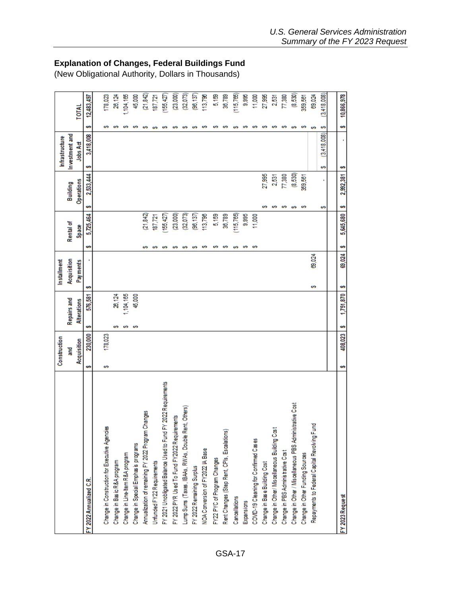|                                                               |    | Construction |    |                    |   | Installment |    |              |            |           | Infrastructure   |   |    |             |
|---------------------------------------------------------------|----|--------------|----|--------------------|---|-------------|----|--------------|------------|-----------|------------------|---|----|-------------|
|                                                               |    | 7 Miles      |    | <b>Repairs and</b> |   | Acquisition |    | Rental of    | Building   |           | Investment and   |   |    |             |
|                                                               |    | Acquisition  |    | <b>Alterations</b> |   | Pay ments   |    | <b>Space</b> | Operations |           | <b>Jobs Act</b>  |   |    | TOTAL       |
| FY 2022 Annualized C.R.                                       | ဖာ | 230,000      | ဖာ | 576,581            | ഗ |             | ഄ  | 5,725,464    | မာ         | 2,533,444 | 3,418,008<br>ഄ   |   | ဖာ | 12,483,497  |
|                                                               |    |              |    |                    |   |             |    |              |            |           |                  |   |    |             |
| Change in Construction for Executive Agencies                 | w  | 178,023      |    |                    |   |             |    |              |            |           |                  |   | ശ  | 178,023     |
| Change in Basic R&A program                                   |    |              | o  | 26,124             |   |             |    |              |            |           |                  |   | ഗ  | 26,124      |
| Change in Line-Item R&A program                               |    |              | o  | 1,104,165          |   |             |    |              |            |           |                  |   |    | 1,104,165   |
| Change in Special Emphas is programs                          |    |              | s  | 45,000             |   |             |    |              |            |           |                  |   | ທ  | 45,000      |
| Annualization of remaining FY 2022 Program Changes            |    |              |    |                    |   |             |    | (21, 842)    |            |           |                  | ഗ |    | (21, 842)   |
| Unfunded FY22 Requirements                                    |    |              |    |                    |   |             | ഗ  | 187,721      |            |           |                  |   |    | 187,721     |
| FY 2021 Unobligated Balance Used to Fund FY 2022 Requirements |    |              |    |                    |   |             | o  | (155, 427)   |            |           |                  |   |    | (155, 427)  |
| FY 2022 PYR Used To Fund FY2022 Requirements                  |    |              |    |                    |   |             | o  | (23,000)     |            |           |                  |   |    | (23,000)    |
| Others)<br>Lump Sums (Taxes, IBAAs, RWAs, Double Rent,        |    |              |    |                    |   |             | o  | (32,073)     |            |           |                  |   |    | (32,073)    |
| FY 2022 Remaining Surplus                                     |    |              |    |                    |   |             | ശ  | (96, 137)    |            |           |                  | o |    | (96, 137)   |
| NOA Conversion of FY2022 IA Base                              |    |              |    |                    |   |             | s  | 113,796      |            |           |                  |   | ທ  | 113,798     |
| FY22 PYC of Program Changes                                   |    |              |    |                    |   |             | ശ  | 5,159        |            |           |                  |   | ഗ  | 5,159       |
| Rent Changes (Step Rent, CPIs, Escalations)                   |    |              |    |                    |   |             | ശ  | 36,789       |            |           |                  |   | ທ  | 30,789      |
| Cancellations                                                 |    |              |    |                    |   |             | ശ  | (115, 765)   |            |           |                  | ശ |    | (115,765)   |
| Expansions                                                    |    |              |    |                    |   |             | s  | 9,995        |            |           |                  |   | ശ  | 88.6        |
| COVID-19 Cleaning for Confirmed Cases                         |    |              |    |                    |   |             | s  | 11,000       |            |           |                  |   | o  | 11,000      |
| Change in Base Building Cost                                  |    |              |    |                    |   |             |    |              |            | 27,995    |                  |   | ശ  | 27,995      |
| Change in Other/ Miscellaneous Building Cost                  |    |              |    |                    |   |             |    |              | w          | 2,531     |                  |   | w  | 2,531       |
| Change in PBS Administrative Cost                             |    |              |    |                    |   |             |    |              | ശ          | 77,380    |                  |   | ശ  | 77,380      |
| Change in Other / Miscellaneous PBS Administrative Cost       |    |              |    |                    |   |             |    |              | o          | (8,530)   |                  | o |    | (8,530)     |
| Change in Other Funding Sources                               |    |              |    |                    |   |             |    |              | ഗ          | 359,561   |                  |   | ശ  | 359,561     |
| Repayments to Federal Capital Revolving Fund                  |    |              |    |                    | ø | 69,024      |    |              |            |           |                  | s |    | 69,024      |
|                                                               |    |              |    |                    |   |             |    |              | ഗ          |           | (3,418,008)<br>w | s |    | (3,418,008) |
|                                                               |    |              |    |                    |   |             |    |              |            |           |                  |   |    |             |
| FY 2023 Request                                               | ဖာ | 408,023      | S  | 1,751,870          |   | 69,024      | e. | 5,645,680    | မာ         | 2,992,381 | ∽                |   | s  | 10,866,978  |

## <span id="page-16-0"></span>**Explanation of Changes, Federal Buildings Fund**

(New Obligational Authority, Dollars in Thousands)